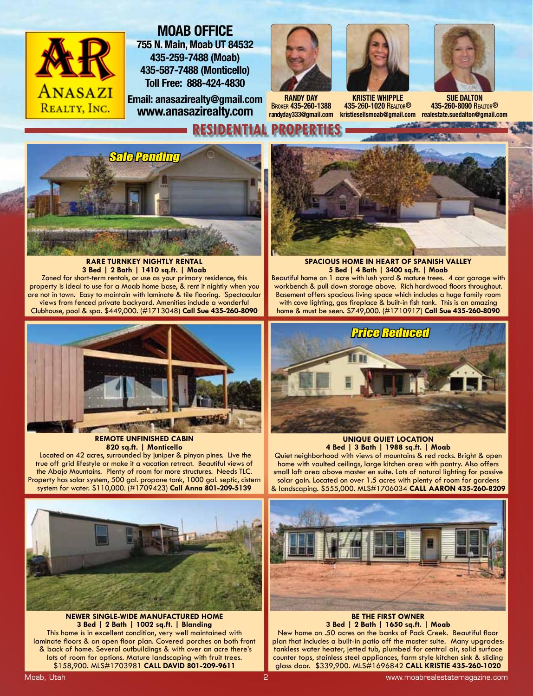

## **MOAB OFFICE 755 N. Main, Moab UT 84532 435-259-7488 (Moab) 435-587-7488 (Monticello) Toll Free: 888-424-4830**

**Email: anasazirealty@gmail.com www.anasazirealty.com**







**KRISTIE WHIPPLE 435**-26**0-1020** REALTOR®



**kristiesellsmoab@gmail.com realestate.suedalton@gmail.com SUE DALTON 435-260-8090** REALTOR®



#### **RARE TURNKEY NIGHTLY RENTAL 3 Bed | 2 Bath | 1410 sq.ft. | Moab** Zoned for short-term rentals, or use as your primary residence, this property is ideal to use for a Moab home base, & rent it nightly when you are not in town. Easy to maintain with laminate & tile flooring. Spectacular views from fenced private backyard. Amenities include a wonderful



**REMOTE UNFINISHED CABIN 820 sq.ft. | Monticello**

 Located on 42 acres, surrounded by juniper & pinyon pines. Live the true off grid lifestyle or make it a vacation retreat. Beautiful views of the Abajo Mountains. Plenty of room for more structures. Needs TLC. Property has solar system, 500 gal. propane tank, 1000 gal. septic, cistern system for water. \$110,000. (#1709423) **Call Anna 801-209-5139**



**NEWER SINGLE-WIDE MANUFACTURED HOME 3 Bed | 2 Bath | 1002 sq.ft. | Blanding** This home is in excellent condition, very well maintained with laminate floors & an open floor plan. Covered porches on both front & back of home. Several outbuildings & with over an acre there's lots of room for options. Mature landscaping with fruit trees. \$158,900. MLS#1703981 **CALL DAVID 801-209-9611**



**SPACIOUS HOME IN HEART OF SPANISH VALLEY 5 Bed | 4 Bath | 3400 sq.ft. | Moab** Beautiful home on 1 acre with lush yard & mature trees. 4 car garage with workbench & pull down storage above. Rich hardwood floors throughout. Basement offers spacious living space which includes a huge family room with cove lighting, gas fireplace & built-in fish tank. This is an amazing home & must be seen. \$749,000. (#1710917) **Call Sue 435-260-8090**



**4 Bed | 3 Bath | 1988 sq.ft. | Moab** Quiet neighborhood with views of mountains & red rocks. Bright & open home with vaulted ceilings, large kitchen area with pantry. Also offers small loft area above master en suite. Lots of natural lighting for passive solar gain. Located on over 1.5 acres with plenty of room for gardens & landscaping. \$555,000. MLS#1706034 **CALL AARON 435-260-8209** 

**UNIQUE QUIET LOCATION**



**BE THE FIRST OWNER 3 Bed | 2 Bath | 1650 sq.ft. | Moab**

New home on .50 acres on the banks of Pack Creek. Beautiful floor plan that includes a built-in patio off the master suite. Many upgrades: tankless water heater, jetted tub, plumbed for central air, solid surface counter tops, stainless steel appliances, farm style kitchen sink & sliding glass door. \$339,900. MLS#1696842 **CALL KRISTIE 435-260-1020**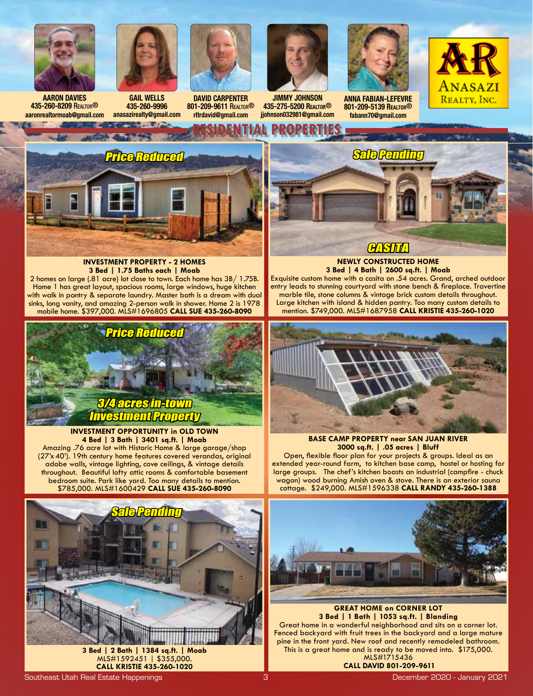

**435-260-8209** REALTOR® **aaronrealtormoab@gmail.com**



**GAIL WELLS 435-260-9996 anasazirealty@gmail.com**



**DAVID CARPENTER 801-209-9611** REALTOR® **rltrdavid@gmail.com**



**JIMMY JOHNSON 435-275-5200 REALTOR**® **jjohnson032981@gmail.com**



**ANNA FABIAN-LEFEVRE 801-209-5139 REALTOR**® **fabann70@gmail.com**





#### **INVESTMENT PROPERTY - 2 HOMES 3 Bed | 1.75 Baths each | Moab**

2 homes on large (.81 acre) lot close to town. Each home has 3B/ 1.75B. Home 1 has great layout, spacious rooms, large windows, huge kitchen with walk in pantry & separate laundry. Master bath is a dream with dual sinks, long vanity, and amazing 2-person walk in shower. Home 2 is 1978 mobile home. \$397,000. MLS#1696805 **CALL SUE 435-260-8090**



**INVESTMENT OPPORTUNITY in OLD TOWN 4 Bed | 3 Bath | 3401 sq.ft. | Moab**

Amazing .76 acre lot with Historic Home & large garage/shop (27'x40'). 19th century home features covered verandas, original adobe walls, vintage lighting, cove ceilings, & vintage details throughout. Beautiful lofty attic rooms & comfortable basement bedroom suite. Park like yard. Too many details to mention. \$785,000. MLS#1600429 **CALL SUE 435-260-8090**





**CASTT** 

**NEWLY CONSTRUCTED HOME 3 Bed | 4 Bath | 2600 sq.ft. | Moab** Exquisite custom home with a casita on .54 acres. Grand, arched outdoor entry leads to stunning courtyard with stone bench & fireplace. Travertine

marble tile, stone columns & vintage brick custom details throughout. Large kitchen with island & hidden pantry. Too many custom details to mention. \$749,000. MLS#1687958 **CALL KRISTIE 435-260-1020**



**BASE CAMP PROPERTY near SAN JUAN RIVER 3000 sq.ft. | .05 acres | Bluff** 

Open, flexible floor plan for your projects & groups. Ideal as an extended year-round farm, to kitchen base camp, hostel or hosting for large groups. The chef's kitchen boasts an industrial (campfire - chuck wagon) wood burning Amish oven & stove. There is an exterior sauna cottage. \$249,000. MLS#1596338 **CALL RANDY 435-260-1388**



**GREAT HOME on CORNER LOT 3 Bed | 1 Bath | 1053 sq.ft. | Blanding** Great home in a wonderful neighborhood and sits on a corner lot. Fenced backyard with fruit trees in the backyard and a large mature pine in the front yard. New roof and recently remodeled bathroom. This is a great home and is ready to be moved into. \$175,000. MLS#1715436

 **CALL DAVID 801-209-9611**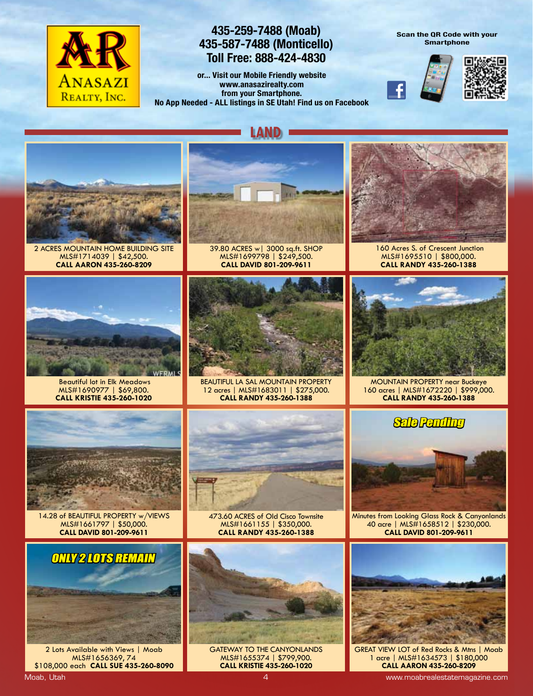

### **435-259-7488 (Moab) 435-587-7488 (Monticello) Toll Free: 888-424-4830**

**or... Visit our Mobile Friendly website www.anasazirealty.com from your Smartphone. No App Needed - ALL listings in SE Utah! Find us on Facebook** **Scan the QR Code with your Smartphone**





**LAND**



2 ACRES MOUNTAIN HOME BUILDING SITE MLS#1714039 | \$42,500. **CALL AARON 435-260-8209**



39.80 ACRES w| 3000 sq.ft. SHOP MLS#1699798 | \$249,500. **CALL DAVID 801-209-9611**



 160 Acres S. of Crescent Junction MLS#1695510 | \$800,000. **CALL RANDY 435-260-1388**



 Beautiful lot in Elk Meadows MLS#1690977 | \$69,800. **CALL KRISTIE 435-260-1020**



BEAUTIFUL LA SAL MOUNTAIN PROPERTY 12 acres | MLS#1683011 | \$275,000. **CALL RANDY 435-260-1388**



MOUNTAIN PROPERTY near Buckeye 160 acres | MLS#1672220 | \$999,000. **CALL RANDY 435-260-1388**



14.28 of BEAUTIFUL PROPERTY w/VIEWS MLS#1661797 | \$50,000. **CALL DAVID 801-209-9611**



MLS#1661155 | \$350,000. **CALL RANDY 435-260-1388**



Minutes from Looking Glass Rock & Canyonlands 40 acre | MLS#1658512 | \$230,000. **CALL DAVID 801-209-9611**



2 Lots Available with Views | Moab MLS#1656369, 74 \$108,000 each **CALL SUE 435-260-8090**



GATEWAY TO THE CANYONLANDS MLS#1655374 | \$799,900. **CALL KRISTIE 435-260-1020**



GREAT VIEW LOT of Red Rocks & Mtns | Moab 1 acre | MLS#1634573 | \$180,000 **CALL AARON 435-260-8209**